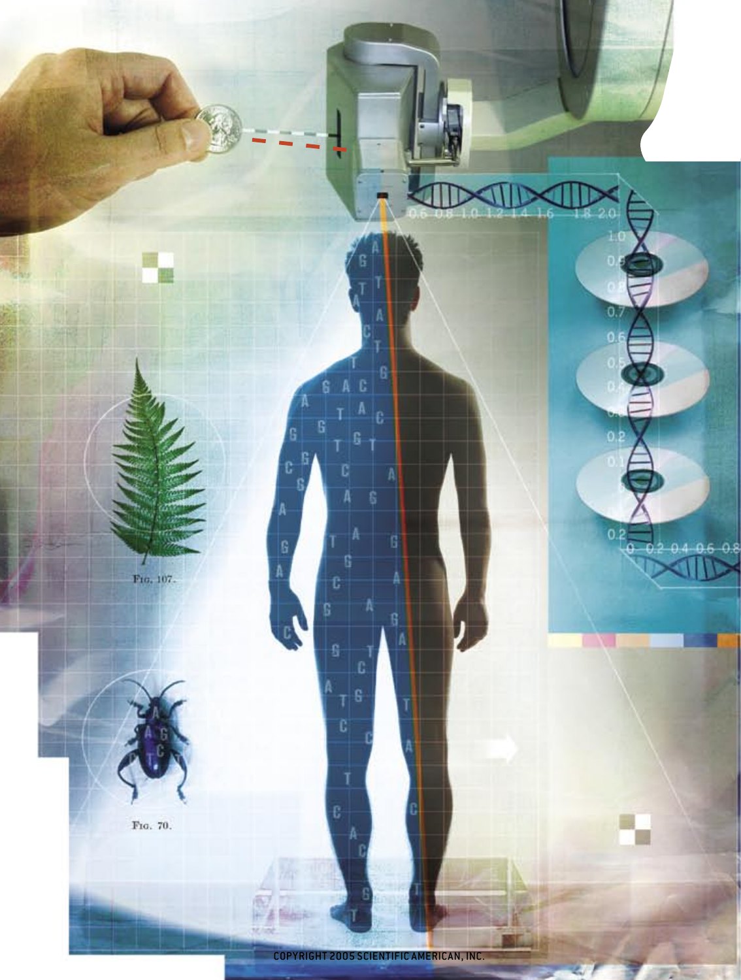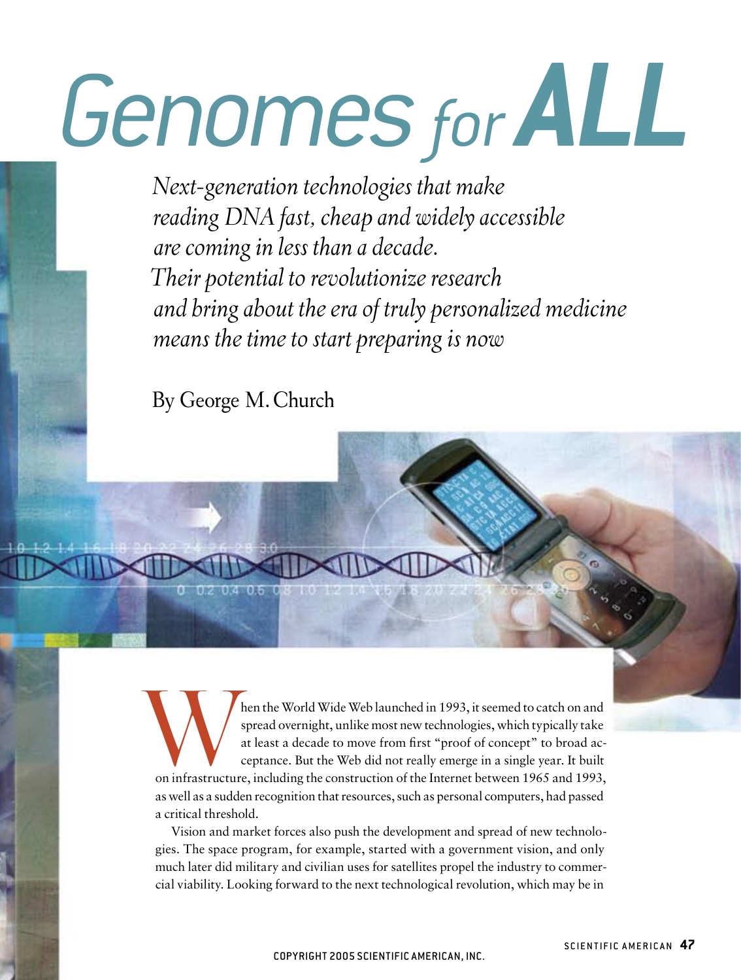# *Genomes for ALL*

*Next-generation technologies that make reading DNA fast, cheap and widely accessible are coming in less than a decade. Their potential to revolutionize research and bring about the era of truly personalized medicine means the time to start preparing is now*

By George M. Church

# Then the World Wide Web launched in 1993, it seemed to catch on and spread overnight, unlike most new technologies, which typically take at least a decade to move from first "proof of concept" to broad acceptance. But the spread overnight, unlike most new technologies, which typically take at least a decade to move from first "proof of concept" to broad acceptance. But the Web did not really emerge in a single year. It built as well as a sudden recognition that resources, such as personal computers, had passed a critical threshold.

Vision and market forces also push the development and spread of new technologies. The space program, for example, started with a government vision, and only much later did military and civilian uses for satellites propel the industry to commercial viability. Looking forward to the next technological revolution, which may be in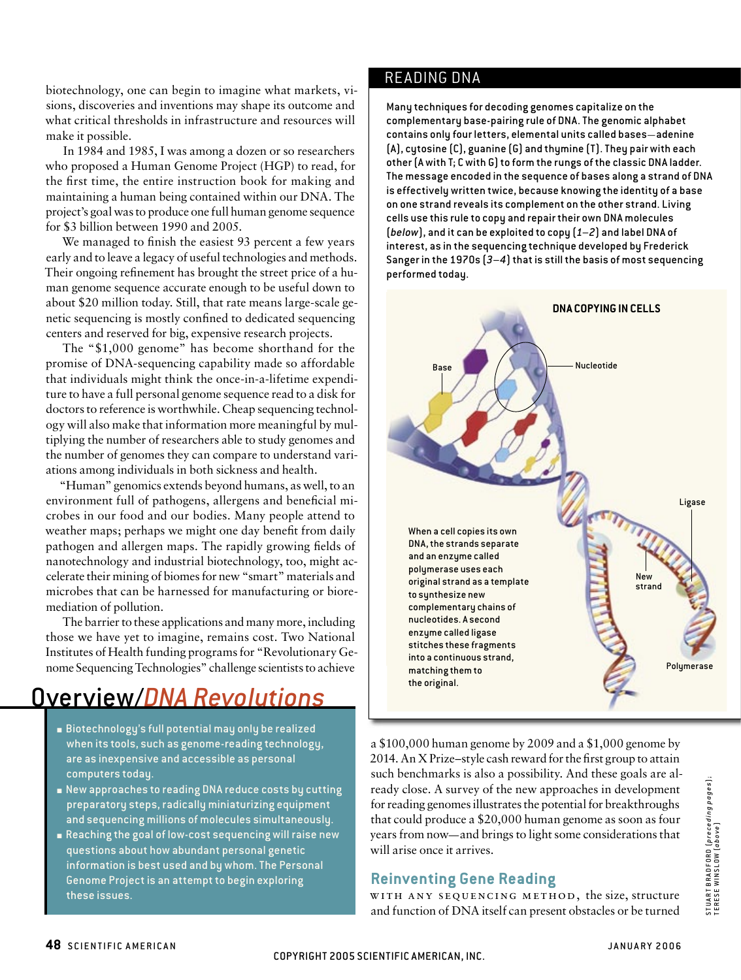biotechnology, one can begin to imagine what markets, visions, discoveries and inventions may shape its outcome and what critical thresholds in infrastructure and resources will make it possible.

In 1984 and 1985, I was among a dozen or so researchers who proposed a Human Genome Project (HGP) to read, for the first time, the entire instruction book for making and maintaining a human being contained within our DNA. The project's goal was to produce one full human genome sequence for \$3 billion between 1990 and 2005.

We managed to finish the easiest 93 percent a few years early and to leave a legacy of useful technologies and methods. Their ongoing refinement has brought the street price of a human genome sequence accurate enough to be useful down to about \$20 million today. Still, that rate means large-scale genetic sequencing is mostly confined to dedicated sequencing centers and reserved for big, expensive research projects.

The "\$1,000 genome" has become shorthand for the promise of DNA-sequencing capability made so affordable that individuals might think the once-in-a-lifetime expenditure to have a full personal genome sequence read to a disk for doctors to reference is worthwhile. Cheap sequencing technology will also make that information more meaningful by multiplying the number of researchers able to study genomes and the number of genomes they can compare to understand variations among individuals in both sickness and health.

"Human" genomics extends beyond humans, as well, to an environment full of pathogens, allergens and beneficial microbes in our food and our bodies. Many people attend to weather maps; perhaps we might one day benefit from daily pathogen and allergen maps. The rapidly growing fields of nanotechnology and industrial biotechnology, too, might accelerate their mining of biomes for new "smart" materials and microbes that can be harnessed for manufacturing or bioremediation of pollution.

The barrier to these applications and many more, including those we have yet to imagine, remains cost. Two National Institutes of Health funding programs for "Revolutionary Genome Sequencing Technologies" challenge scientists to achieve

# Overview/*DNA Revolutions*

- Biotechnology's full potential may only be realized when its tools, such as genome-reading technology, are as inexpensive and accessible as personal computers today.
- New approaches to reading DNA reduce costs by cutting preparatory steps, radically miniaturizing equipment and sequencing millions of molecules simultaneously.
- Reaching the goal of low-cost sequencing will raise new questions about how abundant personal genetic information is best used and by whom. The Personal Genome Project is an attempt to begin exploring these issues.

## READING DNA

Many techniques for decoding genomes capitalize on the complementary base-pairing rule of DNA. The genomic alphabet contains only four letters, elemental units called bases—adenine (A), cytosine (C), guanine (G) and thymine (T). They pair with each other (A with T; C with G) to form the rungs of the classic DNA ladder. The message encoded in the sequence of bases along a strand of DNA is effectively written twice, because knowing the identity of a base on one strand reveals its complement on the other strand. Living cells use this rule to copy and repair their own DNA molecules (*below*), and it can be exploited to copy (*1*–*2*) and label DNA of interest, as in the sequencing technique developed by Frederick Sanger in the 1970s (*3*–*4*) that is still the basis of most sequencing performed today.



a \$100,000 human genome by 2009 and a \$1,000 genome by 2014. An X Prize–style cash reward for the first group to attain such benchmarks is also a possibility. And these goals are already close. A survey of the new approaches in development for reading genomes illustrates the potential for breakthroughs that could produce a \$20,000 human genome as soon as four years from now—and brings to light some considerations that will arise once it arrives.

## **Reinventing Gene Reading**

WITH ANY SEQUENCING METHOD, the size, structure and function of DNA itself can present obstacles or be turned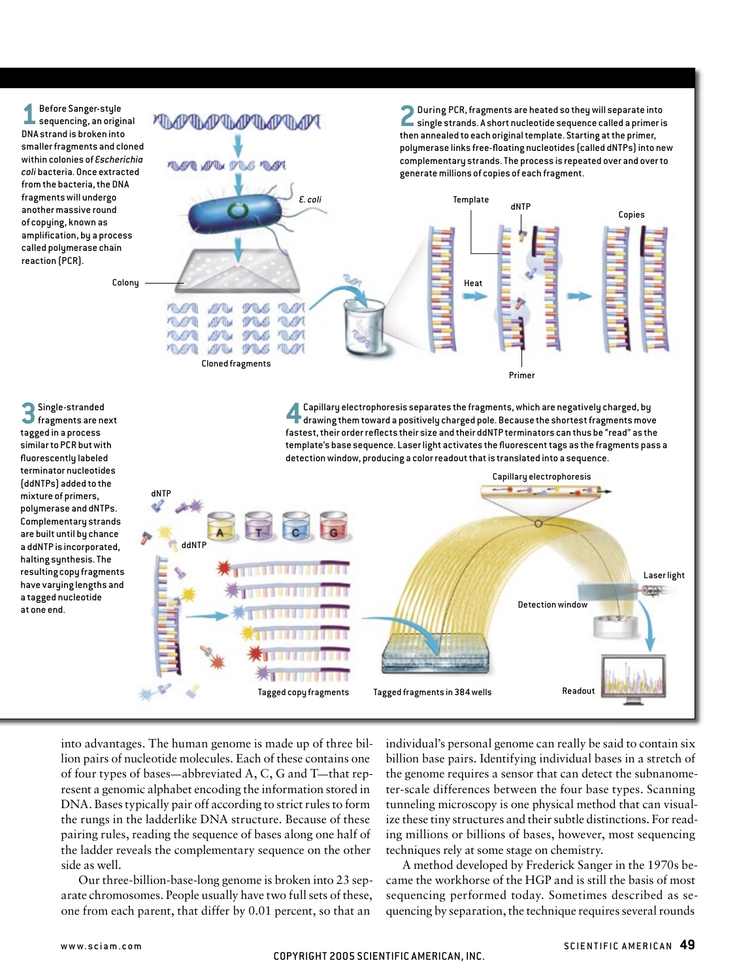

**4**Capillary electrophoresis separates the fragments, which are negatively charged, by<br>drawing them toward a positively charged pole. Because the shortest fragments move fastest, their order reflects their size and their ddNTP terminators can thus be "read" as the template's base sequence. Laser light activates the fluorescent tags as the fragments pass a detection window, producing a color readout that is translated into a sequence.



into advantages. The human genome is made up of three billion pairs of nucleotide molecules. Each of these contains one of four types of bases—abbreviated A, C, G and T—that represent a genomic alphabet encoding the information stored in DNA. Bases typically pair off according to strict rules to form the rungs in the ladderlike DNA structure. Because of these pairing rules, reading the sequence of bases along one half of the ladder reveals the complementary sequence on the other side as well.

Our three-billion-base-long genome is broken into 23 separate chromosomes. People usually have two full sets of these, one from each parent, that differ by 0.01 percent, so that an

individual's personal genome can really be said to contain six billion base pairs. Identifying individual bases in a stretch of the genome requires a sensor that can detect the subnanometer-scale differences between the four base types. Scanning tunneling microscopy is one physical method that can visualize these tiny structures and their subtle distinctions. For reading millions or billions of bases, however, most sequencing techniques rely at some stage on chemistry.

A method developed by Frederick Sanger in the 1970s became the workhorse of the HGP and is still the basis of most sequencing performed today. Sometimes described as sequencing by separation, the technique requires several rounds

**3**Single-stranded fragments are next tagged in a process similar to PCR but with fluorescentlu labeled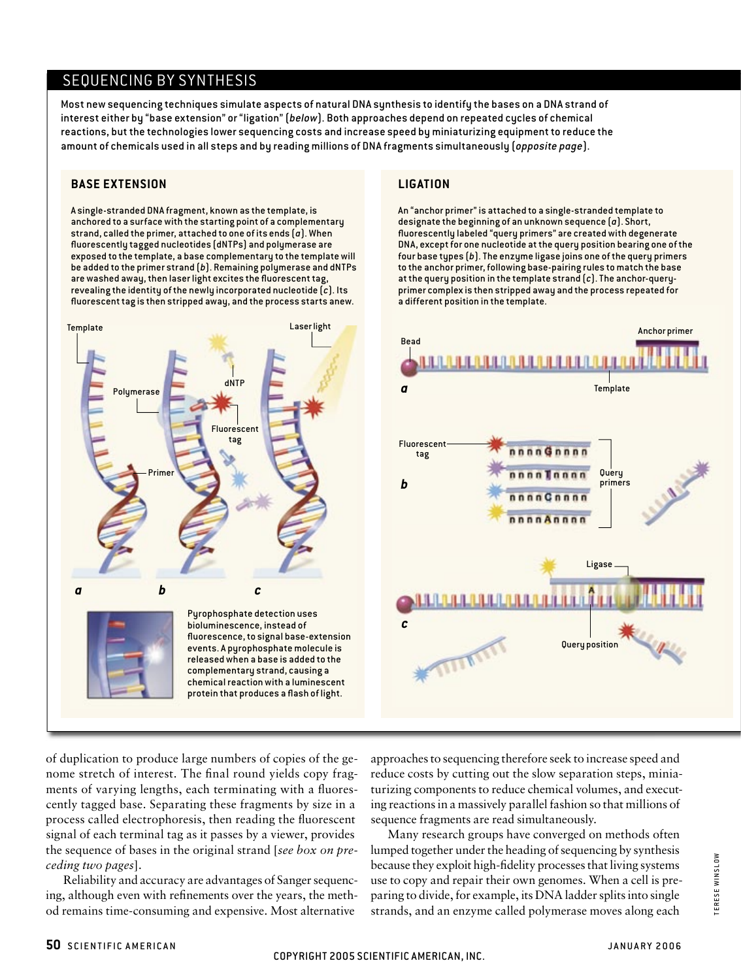# SEQUENCING BY SYNTHESIS

Most new sequencing techniques simulate aspects of natural DNA synthesis to identify the bases on a DNA strand of interest either by "base extension" or "ligation" (*below*). Both approaches depend on repeated cycles of chemical reactions, but the technologies lower sequencing costs and increase speed by miniaturizing equipment to reduce the amount of chemicals used in all steps and by reading millions of DNA fragments simultaneously (*opposite page*).

#### **BASE EXTENSION**

A single-stranded DNA fragment, known as the template, is anchored to a surface with the starting point of a complementary strand, called the primer, attached to one of its ends (*a*). When fluorescently tagged nucleotides (dNTPs) and polymerase are exposed to the template, a base complementary to the template will be added to the primer strand (*b*). Remaining polymerase and dNTPs are washed away, then laser light excites the fluorescent tag, revealing the identity of the newly incorporated nucleotide (*c*). Its fluorescent tag is then stripped away, and the process starts anew.



## **LIGATION**

An "anchor primer" is attached to a single-stranded template to designate the beginning of an unknown sequence (*a*). Short, fluorescently labeled "query primers" are created with degenerate DNA, except for one nucleotide at the query position bearing one of the four base types (*b*). The enzyme ligase joins one of the query primers to the anchor primer, following base-pairing rules to match the base at the query position in the template strand (*c*). The anchor-queryprimer complex is then stripped away and the process repeated for a different position in the template.



of duplication to produce large numbers of copies of the genome stretch of interest. The final round yields copy fragments of varying lengths, each terminating with a fluorescently tagged base. Separating these fragments by size in a process called electrophoresis, then reading the fluorescent signal of each terminal tag as it passes by a viewer, provides the sequence of bases in the original strand [*see box on preceding two pages*].

Reliability and accuracy are advantages of Sanger sequencing, although even with refinements over the years, the method remains time-consuming and expensive. Most alternative

approaches to sequencing therefore seek to increase speed and reduce costs by cutting out the slow separation steps, miniaturizing components to reduce chemical volumes, and executing reactions in a massively parallel fashion so that millions of sequence fragments are read simultaneously.

Many research groups have converged on methods often lumped together under the heading of sequencing by synthesis because they exploit high-fidelity processes that living systems use to copy and repair their own genomes. When a cell is preparing to divide, for example, its DNA ladder splits into single strands, and an enzyme called polymerase moves along each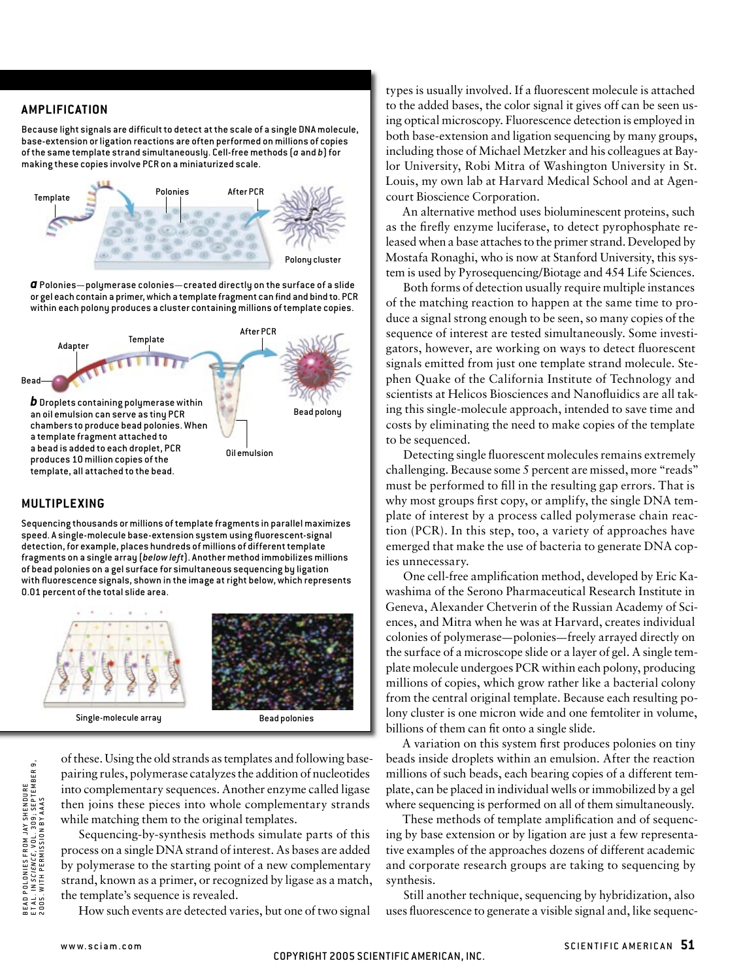#### **AMPLIFICATION**

Because light signals are difficult to detect at the scale of a single DNA molecule, base-extension or ligation reactions are often performed on millions of copies of the same template strand simultaneously. Cell-free methods (*a* and *b*) for making these copies involve PCR on a miniaturized scale.



*a* Polonies—polymerase colonies—created directly on the surface of a slide or gel each contain a primer, which a template fragment can find and bind to. PCR within each polony produces a cluster containing millions of template copies.



#### **MULTIPLEXING**

Sequencing thousands or millions of template fragments in parallel maximizes speed. A single-molecule base-extension system using fluorescent-signal detection, for example, places hundreds of millions of different template fragments on a single array (*below left*). Another method immobilizes millions of bead polonies on a gel surface for simultaneous sequencing by ligation with fluorescence signals, shown in the image at right below, which represents 0.01 percent of the total slide area.



of these. Using the old strands as templates and following basepairing rules, polymerase catalyzes the addition of nucleotides into complementary sequences. Another enzyme called ligase then joins these pieces into whole complementary strands while matching them to the original templates.

Sequencing-by-synthesis methods simulate parts of this process on a single DNA strand of interest. As bases are added by polymerase to the starting point of a new complementary strand, known as a primer, or recognized by ligase as a match, the template's sequence is revealed.

How such events are detected varies, but one of two signal

types is usually involved. If a fluorescent molecule is attached to the added bases, the color signal it gives off can be seen using optical microscopy. Fluorescence detection is employed in both base-extension and ligation sequencing by many groups, including those of Michael Metzker and his colleagues at Baylor University, Robi Mitra of Washington University in St. Louis, my own lab at Harvard Medical School and at Agencourt Bioscience Corporation.

An alternative method uses bioluminescent proteins, such as the firefly enzyme luciferase, to detect pyrophosphate released when a base attaches to the primer strand. Developed by Mostafa Ronaghi, who is now at Stanford University, this system is used by Pyrosequencing/Biotage and 454 Life Sciences.

Both forms of detection usually require multiple instances of the matching reaction to happen at the same time to produce a signal strong enough to be seen, so many copies of the sequence of interest are tested simultaneously. Some investigators, however, are working on ways to detect fluorescent signals emitted from just one template strand molecule. Stephen Quake of the California Institute of Technology and scientists at Helicos Biosciences and Nanofluidics are all taking this single-molecule approach, intended to save time and costs by eliminating the need to make copies of the template to be sequenced.

Detecting single fluorescent molecules remains extremely challenging. Because some 5 percent are missed, more "reads" must be performed to fill in the resulting gap errors. That is why most groups first copy, or amplify, the single DNA template of interest by a process called polymerase chain reaction (PCR). In this step, too, a variety of approaches have emerged that make the use of bacteria to generate DNA copies unnecessary.

One cell-free amplification method, developed by Eric Kawashima of the Serono Pharmaceutical Research Institute in Geneva, Alexander Chetverin of the Russian Academy of Sciences, and Mitra when he was at Harvard, creates individual colonies of polymerase—polonies—freely arrayed directly on the surface of a microscope slide or a layer of gel. A single template molecule undergoes PCR within each polony, producing millions of copies, which grow rather like a bacterial colony from the central original template. Because each resulting polony cluster is one micron wide and one femtoliter in volume, billions of them can fit onto a single slide.

A variation on this system first produces polonies on tiny beads inside droplets within an emulsion. After the reaction millions of such beads, each bearing copies of a different template, can be placed in individual wells or immobilized by a gel where sequencing is performed on all of them simultaneously.

These methods of template amplification and of sequencing by base extension or by ligation are just a few representative examples of the approaches dozens of different academic and corporate research groups are taking to sequencing by synthesis.

Still another technique, sequencing by hybridization, also uses fluorescence to generate a visible signal and, like sequenc-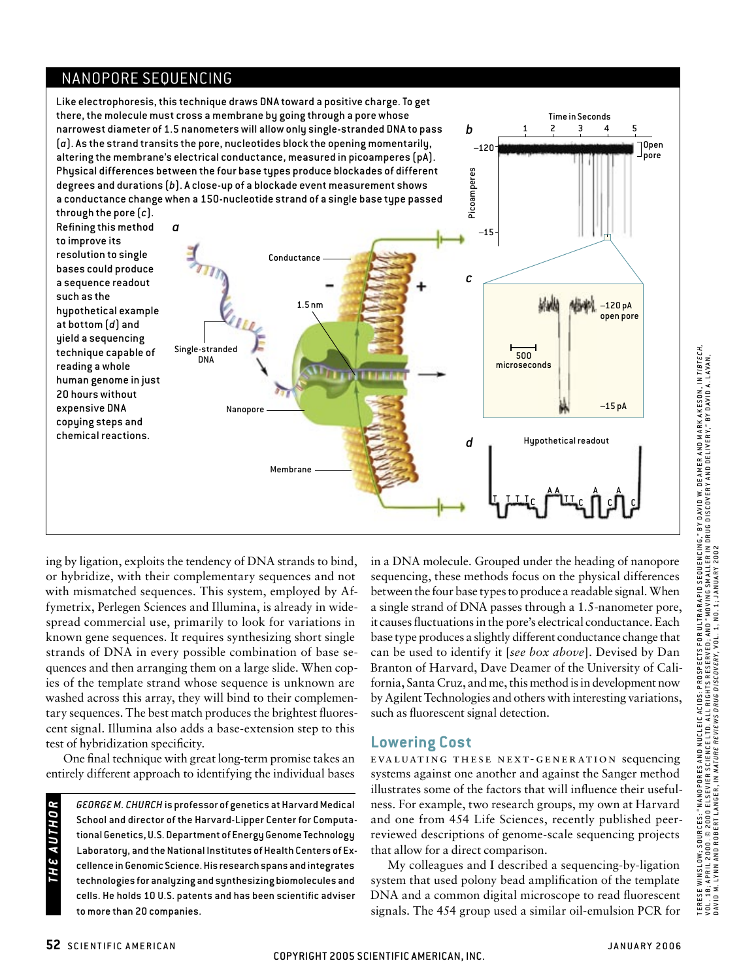# NANOPORE SEQUENCING



ing by ligation, exploits the tendency of DNA strands to bind, or hybridize, with their complementary sequences and not with mismatched sequences. This system, employed by Affymetrix, Perlegen Sciences and Illumina, is already in widespread commercial use, primarily to look for variations in known gene sequences. It requires synthesizing short single strands of DNA in every possible combination of base sequences and then arranging them on a large slide. When copies of the template strand whose sequence is unknown are washed across this array, they will bind to their complementary sequences. The best match produces the brightest fluorescent signal. Illumina also adds a base-extension step to this test of hybridization specificity.

One final technique with great long-term promise takes an entirely different approach to identifying the individual bases

*T H E A U T H O R* Ó THE.

*GEORGE M. CHURCH* is professor of genetics at Harvard Medical School and director of the Harvard-Lipper Center for Computational Genetics, U.S. Department of Energy Genome Technology Laboratory, and the National Institutes of Health Centers of Excellence in Genomic Science. His research spans and integrates technologies for analyzing and synthesizing biomolecules and cells. He holds 10 U.S. patents and has been scientific adviser to more than 20 companies.

in a DNA molecule. Grouped under the heading of nanopore sequencing, these methods focus on the physical differences between the four base types to produce a readable signal. When a single strand of DNA passes through a 1.5-nanometer pore, it causes fluctuations in the pore's electrical conductance. Each base type produces a slightly different conductance change that can be used to identify it [*see box above*]. Devised by Dan Branton of Harvard, Dave Deamer of the University of California, Santa Cruz, and me, this method is in development now by Agilent Technologies and others with interesting variations, such as fluorescent signal detection.

## **Lowering Cost**

EVALUATING THESE NEXT-GENERATION sequencing systems against one another and against the Sanger method illustrates some of the factors that will influence their usefulness. For example, two research groups, my own at Harvard and one from 454 Life Sciences, recently published peerreviewed descriptions of genome-scale sequencing projects that allow for a direct comparison.

My colleagues and I described a sequencing-by-ligation system that used polony bead amplification of the template DNA and a common digital microscope to read fluorescent signals. The 454 group used a similar oil-emulsion PCR for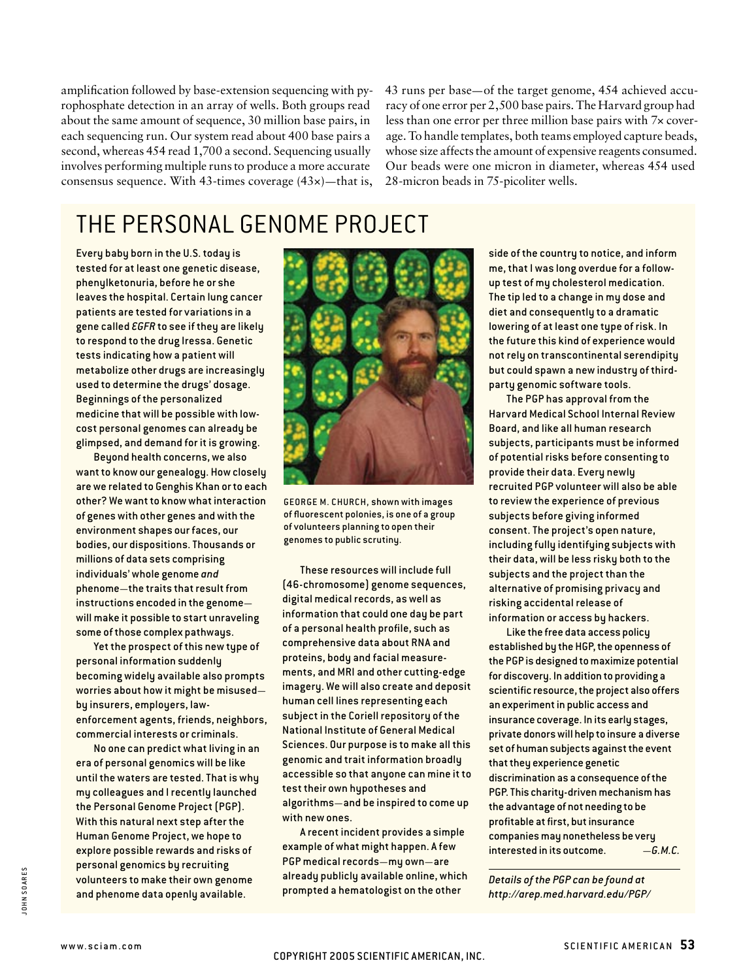amplification followed by base-extension sequencing with pyrophosphate detection in an array of wells. Both groups read about the same amount of sequence, 30 million base pairs, in each sequencing run. Our system read about 400 base pairs a second, whereas 454 read 1,700 a second. Sequencing usually involves performing multiple runs to produce a more accurate consensus sequence. With 43-times coverage (43×)—that is,

43 runs per base—of the target genome, 454 achieved accuracy of one error per 2,500 base pairs. The Harvard group had less than one error per three million base pairs with 7× coverage. To handle templates, both teams employed capture beads, whose size affects the amount of expensive reagents consumed. Our beads were one micron in diameter, whereas 454 used 28-micron beads in 75-picoliter wells.

# THE PERSONAL GENOME PROJECT

Every baby born in the U.S. today is tested for at least one genetic disease, phenylketonuria, before he or she leaves the hospital. Certain lung cancer patients are tested for variations in a gene called *EGFR* to see if they are likely to respond to the drug Iressa. Genetic tests indicating how a patient will metabolize other drugs are increasingly used to determine the drugs' dosage. Beginnings of the personalized medicine that will be possible with lowcost personal genomes can already be glimpsed, and demand for it is growing.

Beyond health concerns, we also want to know our genealogy. How closely are we related to Genghis Khan or to each other? We want to know what interaction of genes with other genes and with the environment shapes our faces, our bodies, our dispositions. Thousands or millions of data sets comprising individuals' whole genome *and* phenome—the traits that result from instructions encoded in the genome will make it possible to start unraveling some of those complex pathways.

Yet the prospect of this new type of personal information suddenly becoming widely available also prompts worries about how it might be misused by insurers, employers, lawenforcement agents, friends, neighbors, commercial interests or criminals.

No one can predict what living in an era of personal genomics will be like until the waters are tested. That is why my colleagues and I recently launched the Personal Genome Project (PGP). With this natural next step after the Human Genome Project, we hope to explore possible rewards and risks of personal genomics by recruiting volunteers to make their own genome and phenome data openly available.



GEORGE M. CHURCH, shown with images of fluorescent polonies, is one of a group of volunteers planning to open their genomes to public scrutiny.

These resources will include full (46-chromosome) genome sequences, digital medical records, as well as information that could one day be part of a personal health profile, such as comprehensive data about RNA and proteins, body and facial measurements, and MRI and other cutting-edge imagery. We will also create and deposit human cell lines representing each subject in the Coriell repository of the National Institute of General Medical Sciences. Our purpose is to make all this genomic and trait information broadly accessible so that anyone can mine it to test their own hypotheses and algorithms—and be inspired to come up with new ones.

A recent incident provides a simple example of what might happen. A few PGP medical records—my own—are already publicly available online, which prompted a hematologist on the other

side of the country to notice, and inform me, that I was long overdue for a followup test of my cholesterol medication. The tip led to a change in my dose and diet and consequently to a dramatic lowering of at least one type of risk. In the future this kind of experience would not rely on transcontinental serendipity but could spawn a new industry of thirdparty genomic software tools.

The PGP has approval from the Harvard Medical School Internal Review Board, and like all human research subjects, participants must be informed of potential risks before consenting to provide their data. Every newly recruited PGP volunteer will also be able to review the experience of previous subjects before giving informed consent. The project's open nature, including fully identifying subjects with their data, will be less risky both to the subjects and the project than the alternative of promising privacy and risking accidental release of information or access by hackers.

Like the free data access policy established by the HGP, the openness of the PGP is designed to maximize potential for discovery. In addition to providing a scientific resource, the project also offers an experiment in public access and insurance coverage. In its early stages, private donors will help to insure a diverse set of human subjects against the event that they experience genetic discrimination as a consequence of the PGP. This charity-driven mechanism has the advantage of not needing to be profitable at first, but insurance companies may nonetheless be very interested in its outcome. —*G.M.C.*

*Details of the PGP can be found at http://arep.med.harvard.edu/PGP/*